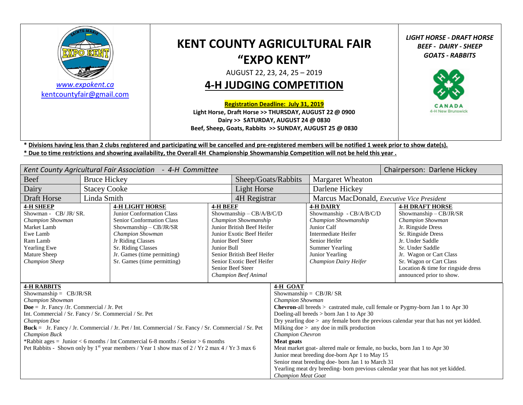

*[www.expokent.ca](http://www.expokent.ca/)* [kentcountyfair@gmail.com](mailto:kentcountyfair@gmail.com)

# **KENT COUNTY AGRICULTURAL FAIR "EXPO KENT"**

AUGUST 22, 23, 24, 25 – 2019

## **4-H JUDGING COMPETITION**

**Registration Deadline: July 31, 2019**

**Light Horse, Draft Horse >> THURSDAY, AUGUST 22 @ 0900 Dairy >> SATURDAY, AUGUST 24 @ 0830 Beef, Sheep, Goats, Rabbits >> SUNDAY, AUGUST 25 @ 0830** *LIGHT HORSE - DRAFT HORSE BEEF - DAIRY - SHEEP GOATS - RABBITS*



**\* Divisions having less than 2 clubs registered and participating will be cancelled and pre-registered members will be notified 1 week prior to show date(s). \* Due to time restrictions and showring availability, the Overall 4H Championship Showmanship Competition will not be held this year .**

| Kent County Agricultural Fair Association<br>- 4-H Committee                                                                                                                                                                                                                                                                                                                                                                                                                                                                             |                     |                                                                                                                                                                                                                                                                                   |  |                                                                                                                                                                                                   |                                                                                                                                                                                                                                                                                                     |                                                                                                                                                                                                                                                                          | Chairperson: Darlene Hickey |  |  |
|------------------------------------------------------------------------------------------------------------------------------------------------------------------------------------------------------------------------------------------------------------------------------------------------------------------------------------------------------------------------------------------------------------------------------------------------------------------------------------------------------------------------------------------|---------------------|-----------------------------------------------------------------------------------------------------------------------------------------------------------------------------------------------------------------------------------------------------------------------------------|--|---------------------------------------------------------------------------------------------------------------------------------------------------------------------------------------------------|-----------------------------------------------------------------------------------------------------------------------------------------------------------------------------------------------------------------------------------------------------------------------------------------------------|--------------------------------------------------------------------------------------------------------------------------------------------------------------------------------------------------------------------------------------------------------------------------|-----------------------------|--|--|
| Beef                                                                                                                                                                                                                                                                                                                                                                                                                                                                                                                                     | <b>Bruce Hickey</b> |                                                                                                                                                                                                                                                                                   |  | Sheep/Goats/Rabbits                                                                                                                                                                               |                                                                                                                                                                                                                                                                                                     | Margaret Wheaton                                                                                                                                                                                                                                                         |                             |  |  |
| Dairy                                                                                                                                                                                                                                                                                                                                                                                                                                                                                                                                    | <b>Stacey Cooke</b> |                                                                                                                                                                                                                                                                                   |  | Light Horse                                                                                                                                                                                       |                                                                                                                                                                                                                                                                                                     | Darlene Hickey                                                                                                                                                                                                                                                           |                             |  |  |
| <b>Draft Horse</b>                                                                                                                                                                                                                                                                                                                                                                                                                                                                                                                       | Linda Smith         |                                                                                                                                                                                                                                                                                   |  | 4H Registrar                                                                                                                                                                                      |                                                                                                                                                                                                                                                                                                     | Marcus MacDonald, Executive Vice President                                                                                                                                                                                                                               |                             |  |  |
| <b>4-H SHEEP</b><br><b>4-H LIGHT HORSE</b><br>Showman - CB/JR/SR.<br><b>Junior Conformation Class</b><br>Senior Conformation Class<br>Champion Showman<br>Market Lamb<br>Showmanship - CB/JR/SR<br>Ewe Lamb<br><b>Champion Showman</b><br>Ram Lamb<br>Jr Riding Classes<br>Sr. Riding Classes<br><b>Yearling Ewe</b><br>Jr. Games (time permitting)<br>Mature Sheep<br>Sr. Games (time permitting)<br><b>Champion Sheep</b>                                                                                                              |                     | <b>4-H BEEF</b><br>Showmanship - CB/A/B/C/D<br>Champion Showmanship<br>Junior British Beef Heifer<br>Junior Exotic Beef Heifer<br>Junior Beef Steer<br>Junior Bull<br>Senior British Beef Heifer<br>Senior Exotic Beef Heifer<br>Senior Beef Steer<br><b>Champion Beef Animal</b> |  | <b>4-H DAIRY</b><br>Showmanship - CB/A/B/C/D<br>Champion Showmanship<br>Junior Calf<br>Intermediate Heifer<br>Senior Heifer<br><b>Summer Yearling</b><br>Junior Yearling<br>Champion Dairy Heifer | <b>4-H DRAFT HORSE</b><br>Showmanship - CB/JR/SR<br>Champion Showman<br>Jr. Ringside Dress<br>Sr. Ringside Dress<br>Jr. Under Saddle<br>Sr. Under Saddle<br>Jr. Wagon or Cart Class<br>Sr. Wagon or Cart Class<br>Location & time for ringside dress<br>announced prior to show.                    |                                                                                                                                                                                                                                                                          |                             |  |  |
| <b>4-H RABBITS</b><br>Showmanship = $CB/JR/SR$<br>Champion Showman<br>$\bf{Doe}$ = Jr. Fancy /Jr. Commercial / Jr. Pet<br>Int. Commercial / Sr. Fancy / Sr. Commercial / Sr. Pet<br><b>Champion Doe</b><br>Buck = Jr. Fancy / Jr. Commercial / Jr. Pet / Int. Commercial / Sr. Fancy / Sr. Commercial / Sr. Pet<br><b>Champion Buck</b><br>*Rabbit ages = Junior < 6 months / Int Commercial 6-8 months / Senior > 6 months<br>Pet Rabbits - Shown only by 1 <sup>st</sup> year members / Year 1 show max of 2 / Yr 2 max 4 / Yr 3 max 6 |                     |                                                                                                                                                                                                                                                                                   |  | 4-H GOAT<br>Champion Showman<br>Champion Chevron<br>Meat goats<br><b>Champion Meat Goat</b>                                                                                                       | Showmanship = $CB/JR/SR$<br>Doeling-all breeds > born Jan 1 to Apr 30<br>Milking doe $>$ any doe in milk production<br>Meat market goat- altered male or female, no bucks, born Jan 1 to Apr 30<br>Junior meat breeding doe-born Apr 1 to May 15<br>Senior meat breeding doe-born Jan 1 to March 31 | <b>Chevron</b> -all breeds $>$ castrated male, cull female or Pygmy-born Jan 1 to Apr 30<br>Dry yearling doe $>$ any female born the previous calendar year that has not yet kidded.<br>Yearling meat dry breeding- born previous calendar year that has not yet kidded. |                             |  |  |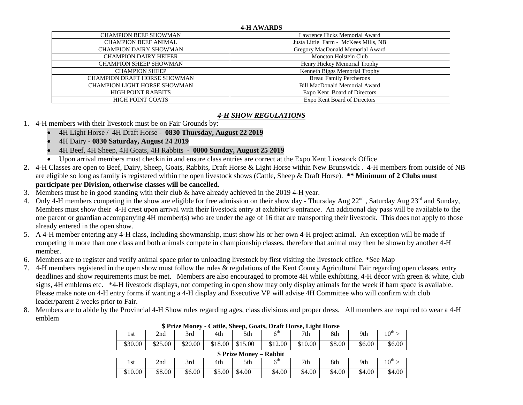#### **4-H AWARDS**

| <b>CHAMPION BEEF SHOWMAN</b>        | Lawrence Hicks Memorial Award        |
|-------------------------------------|--------------------------------------|
| <b>CHAMPION BEEF ANIMAL</b>         | Justa Little Farm - McKees Mills, NB |
| <b>CHAMPION DAIRY SHOWMAN</b>       | Gregory MacDonald Memorial Award     |
| <b>CHAMPION DAIRY HEIFER</b>        | Moncton Holstein Club                |
| <b>CHAMPION SHEEP SHOWMAN</b>       | Henry Hickey Memorial Trophy         |
| <b>CHAMPION SHEEP</b>               | Kenneth Biggs Memorial Trophy        |
| <b>CHAMPION DRAFT HORSE SHOWMAN</b> | <b>Breau Family Percherons</b>       |
| <b>CHAMPION LIGHT HORSE SHOWMAN</b> | <b>Bill MacDonald Memorial Award</b> |
| <b>HIGH POINT RABBITS</b>           | Expo Kent Board of Directors         |
| HIGH POINT GOATS                    | Expo Kent Board of Directors         |

## *4-H SHOW REGULATIONS*

## 1. 4-H members with their livestock must be on Fair Grounds by:

- 4H Light Horse / 4H Draft Horse **0830 Thursday, August 22 2019**
- 4H Dairy **0830 Saturday, August 24 2019**
- 4H Beef, 4H Sheep, 4H Goats, 4H Rabbits **0800 Sunday, August 25 2019**
- Upon arrival members must checkin in and ensure class entries are correct at the Expo Kent Livestock Office
- **2.** 4-H Classes are open to Beef, Dairy, Sheep, Goats, Rabbits, Draft Horse & Light Horse within New Brunswick . 4-H members from outside of NB are eligible so long as family is registered within the open livestock shows (Cattle, Sheep & Draft Horse). **\*\* Minimum of 2 Clubs must participate per Division, otherwise classes will be cancelled.**
- 3. Members must be in good standing with their club & have already achieved in the 2019 4-H year.
- 4. Only 4-H members competing in the show are eligible for free admission on their show day Thursday Aug 22<sup>nd</sup>, Saturday Aug 23<sup>rd</sup> and Sunday, Members must show their 4-H crest upon arrival with their livestock entry at exhibitor's entrance. An additional day pass will be available to the one parent or guardian accompanying 4H member(s) who are under the age of 16 that are transporting their livestock. This does not apply to those already entered in the open show.
- 5. A 4-H member entering any 4-H class, including showmanship, must show his or her own 4-H project animal. An exception will be made if competing in more than one class and both animals compete in championship classes, therefore that animal may then be shown by another 4-H member.
- 6. Members are to register and verify animal space prior to unloading livestock by first visiting the livestock office. \*See Map
- 7. 4-H members registered in the open show must follow the rules & regulations of the Kent County Agricultural Fair regarding open classes, entry deadlines and show requirements must be met. Members are also encouraged to promote 4H while exhibiting, 4-H décor with green & white, club signs, 4H emblems etc. \*4-H livestock displays, not competing in open show may only display animals for the week if barn space is available. Please make note on 4-H entry forms if wanting a 4-H display and Executive VP will advise 4H Committee who will confirm with club leader/parent 2 weeks prior to Fair.
- 8. Members are to abide by the Provincial 4-H Show rules regarding ages, class divisions and proper dress. All members are required to wear a 4-H emblem

| - - - - - - - - - - -   |         |         |         |         |                 |         |        |        |                  |  |  |  |
|-------------------------|---------|---------|---------|---------|-----------------|---------|--------|--------|------------------|--|--|--|
| l st                    | 2nd     | 3rd     | 4th     | 5th     | 6 <sup>th</sup> | 7th     | 8th    | 9th    | $10^{\text{th}}$ |  |  |  |
| \$30.00                 | \$25.00 | \$20.00 | \$18.00 | \$15.00 | \$12.00         | \$10.00 | \$8.00 | \$6.00 | \$6.00           |  |  |  |
| \$ Prize Money – Rabbit |         |         |         |         |                 |         |        |        |                  |  |  |  |
| l st                    | 2nd     | 3rd     | 4th     | 5th     | 6 <sup>tn</sup> | 7th     | 8th    | 9th    | 10 <sup>th</sup> |  |  |  |
| \$10.00                 | \$8.00  | \$6.00  | \$5.00  | \$4.00  | \$4.00          | \$4.00  | \$4.00 | \$4.00 | \$4.00           |  |  |  |

#### **\$ Prize Money - Cattle, Sheep, Goats, Draft Horse, Light Horse**